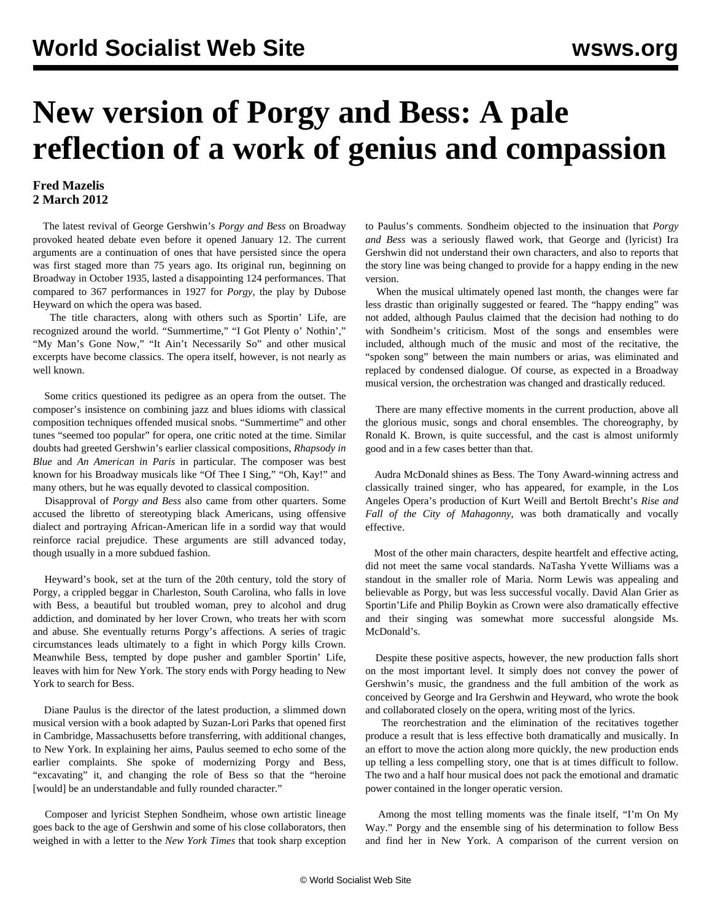## **New version of Porgy and Bess: A pale reflection of a work of genius and compassion**

## **Fred Mazelis 2 March 2012**

 The latest revival of George Gershwin's *Porgy and Bess* on Broadway provoked heated debate even before it opened January 12. The current arguments are a continuation of ones that have persisted since the opera was first staged more than 75 years ago. Its original run, beginning on Broadway in October 1935, lasted a disappointing 124 performances. That compared to 367 performances in 1927 for *Porgy*, the play by Dubose Heyward on which the opera was based.

 The title characters, along with others such as Sportin' Life, are recognized around the world. "Summertime," "I Got Plenty o' Nothin'," "My Man's Gone Now," "It Ain't Necessarily So" and other musical excerpts have become classics. The opera itself, however, is not nearly as well known.

 Some critics questioned its pedigree as an opera from the outset. The composer's insistence on combining jazz and blues idioms with classical composition techniques offended musical snobs. "Summertime" and other tunes "seemed too popular" for opera, one critic noted at the time. Similar doubts had greeted Gershwin's earlier classical compositions, *Rhapsody in Blue* and *An American in Paris* in particular. The composer was best known for his Broadway musicals like "Of Thee I Sing," "Oh, Kay!" and many others, but he was equally devoted to classical composition.

 Disapproval of *Porgy and Bess* also came from other quarters. Some accused the libretto of stereotyping black Americans, using offensive dialect and portraying African-American life in a sordid way that would reinforce racial prejudice. These arguments are still advanced today, though usually in a more subdued fashion.

 Heyward's book, set at the turn of the 20th century, told the story of Porgy, a crippled beggar in Charleston, South Carolina, who falls in love with Bess, a beautiful but troubled woman, prey to alcohol and drug addiction, and dominated by her lover Crown, who treats her with scorn and abuse. She eventually returns Porgy's affections. A series of tragic circumstances leads ultimately to a fight in which Porgy kills Crown. Meanwhile Bess, tempted by dope pusher and gambler Sportin' Life, leaves with him for New York. The story ends with Porgy heading to New York to search for Bess.

 Diane Paulus is the director of the latest production, a slimmed down musical version with a book adapted by Suzan-Lori Parks that opened first in Cambridge, Massachusetts before transferring, with additional changes, to New York. In explaining her aims, Paulus seemed to echo some of the earlier complaints. She spoke of modernizing Porgy and Bess, "excavating" it, and changing the role of Bess so that the "heroine [would] be an understandable and fully rounded character."

 Composer and lyricist Stephen Sondheim, whose own artistic lineage goes back to the age of Gershwin and some of his close collaborators, then weighed in with a letter to the *New York Times* that took sharp exception to Paulus's comments. Sondheim objected to the insinuation that *Porgy and Bess* was a seriously flawed work, that George and (lyricist) Ira Gershwin did not understand their own characters, and also to reports that the story line was being changed to provide for a happy ending in the new version.

 When the musical ultimately opened last month, the changes were far less drastic than originally suggested or feared. The "happy ending" was not added, although Paulus claimed that the decision had nothing to do with Sondheim's criticism. Most of the songs and ensembles were included, although much of the music and most of the recitative, the "spoken song" between the main numbers or arias, was eliminated and replaced by condensed dialogue. Of course, as expected in a Broadway musical version, the orchestration was changed and drastically reduced.

 There are many effective moments in the current production, above all the glorious music, songs and choral ensembles. The choreography, by Ronald K. Brown, is quite successful, and the cast is almost uniformly good and in a few cases better than that.

 Audra McDonald shines as Bess. The Tony Award-winning actress and classically trained singer, who has appeared, for example, in the Los Angeles Opera's production of Kurt Weill and Bertolt Brecht's *Rise and Fall of the City of Mahagonny*, was both dramatically and vocally effective.

 Most of the other main characters, despite heartfelt and effective acting, did not meet the same vocal standards. NaTasha Yvette Williams was a standout in the smaller role of Maria. Norm Lewis was appealing and believable as Porgy, but was less successful vocally. David Alan Grier as Sportin'Life and Philip Boykin as Crown were also dramatically effective and their singing was somewhat more successful alongside Ms. McDonald's.

 Despite these positive aspects, however, the new production falls short on the most important level. It simply does not convey the power of Gershwin's music, the grandness and the full ambition of the work as conceived by George and Ira Gershwin and Heyward, who wrote the book and collaborated closely on the opera, writing most of the lyrics.

 The reorchestration and the elimination of the recitatives together produce a result that is less effective both dramatically and musically. In an effort to move the action along more quickly, the new production ends up telling a less compelling story, one that is at times difficult to follow. The two and a half hour musical does not pack the emotional and dramatic power contained in the longer operatic version.

 Among the most telling moments was the finale itself, "I'm On My Way." Porgy and the ensemble sing of his determination to follow Bess and find her in New York. A comparison of the current version on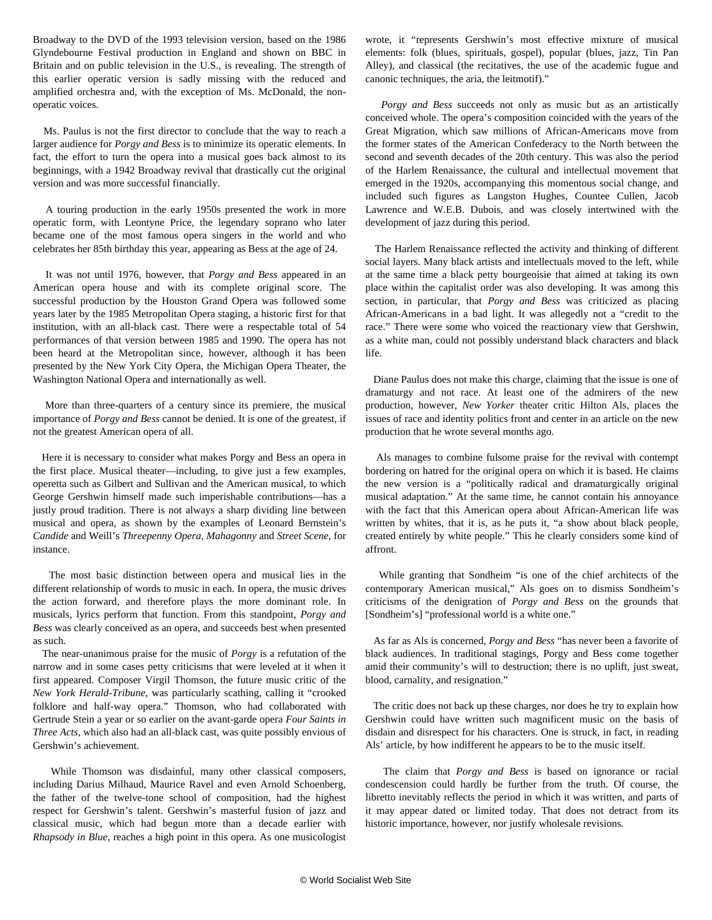Broadway to the DVD of the 1993 television version, based on the 1986 Glyndebourne Festival production in England and shown on BBC in Britain and on public television in the U.S., is revealing. The strength of this earlier operatic version is sadly missing with the reduced and amplified orchestra and, with the exception of Ms. McDonald, the nonoperatic voices.

 Ms. Paulus is not the first director to conclude that the way to reach a larger audience for *Porgy and Bess* is to minimize its operatic elements. In fact, the effort to turn the opera into a musical goes back almost to its beginnings, with a 1942 Broadway revival that drastically cut the original version and was more successful financially.

 A touring production in the early 1950s presented the work in more operatic form, with Leontyne Price, the legendary soprano who later became one of the most famous opera singers in the world and who celebrates her 85th birthday this year, appearing as Bess at the age of 24.

 It was not until 1976, however, that *Porgy and Bess* appeared in an American opera house and with its complete original score. The successful production by the Houston Grand Opera was followed some years later by the 1985 Metropolitan Opera staging, a historic first for that institution, with an all-black cast. There were a respectable total of 54 performances of that version between 1985 and 1990. The opera has not been heard at the Metropolitan since, however, although it has been presented by the New York City Opera, the Michigan Opera Theater, the Washington National Opera and internationally as well.

 More than three-quarters of a century since its premiere, the musical importance of *Porgy and Bess* cannot be denied. It is one of the greatest, if not the greatest American opera of all.

 Here it is necessary to consider what makes Porgy and Bess an opera in the first place. Musical theater—including, to give just a few examples, operetta such as Gilbert and Sullivan and the American musical, to which George Gershwin himself made such imperishable contributions—has a justly proud tradition. There is not always a sharp dividing line between musical and opera, as shown by the examples of Leonard Bernstein's *Candide* and Weill's *Threepenny Opera*, *Mahagonny* and *Street Scene*, for instance.

 The most basic distinction between opera and musical lies in the different relationship of words to music in each. In opera, the music drives the action forward, and therefore plays the more dominant role. In musicals, lyrics perform that function. From this standpoint, *Porgy and Bess* was clearly conceived as an opera, and succeeds best when presented as such.

 The near-unanimous praise for the music of *Porgy* is a refutation of the narrow and in some cases petty criticisms that were leveled at it when it first appeared. Composer Virgil Thomson, the future music critic of the *New York Herald-Tribune*, was particularly scathing, calling it "crooked folklore and half-way opera." Thomson, who had collaborated with Gertrude Stein a year or so earlier on the avant-garde opera *Four Saints in Three Acts,* which also had an all-black cast, was quite possibly envious of Gershwin's achievement.

 While Thomson was disdainful, many other classical composers, including Darius Milhaud, Maurice Ravel and even Arnold Schoenberg, the father of the twelve-tone school of composition, had the highest respect for Gershwin's talent. Gershwin's masterful fusion of jazz and classical music, which had begun more than a decade earlier with *Rhapsody in Blue*, reaches a high point in this opera. As one musicologist wrote, it "represents Gershwin's most effective mixture of musical elements: folk (blues, spirituals, gospel), popular (blues, jazz, Tin Pan Alley), and classical (the recitatives, the use of the academic fugue and canonic techniques, the aria, the leitmotif)."

 *Porgy and Bess* succeeds not only as music but as an artistically conceived whole. The opera's composition coincided with the years of the Great Migration, which saw millions of African-Americans move from the former states of the American Confederacy to the North between the second and seventh decades of the 20th century. This was also the period of the Harlem Renaissance, the cultural and intellectual movement that emerged in the 1920s, accompanying this momentous social change, and included such figures as Langston Hughes, Countee Cullen, Jacob Lawrence and W.E.B. Dubois, and was closely intertwined with the development of jazz during this period.

 The Harlem Renaissance reflected the activity and thinking of different social layers. Many black artists and intellectuals moved to the left, while at the same time a black petty bourgeoisie that aimed at taking its own place within the capitalist order was also developing. It was among this section, in particular, that *Porgy and Bess* was criticized as placing African-Americans in a bad light. It was allegedly not a "credit to the race." There were some who voiced the reactionary view that Gershwin, as a white man, could not possibly understand black characters and black life.

 Diane Paulus does not make this charge, claiming that the issue is one of dramaturgy and not race. At least one of the admirers of the new production, however, *New Yorker* theater critic Hilton Als, places the issues of race and identity politics front and center in an article on the new production that he wrote several months ago.

 Als manages to combine fulsome praise for the revival with contempt bordering on hatred for the original opera on which it is based. He claims the new version is a "politically radical and dramaturgically original musical adaptation." At the same time, he cannot contain his annoyance with the fact that this American opera about African-American life was written by whites, that it is, as he puts it, "a show about black people, created entirely by white people." This he clearly considers some kind of affront.

 While granting that Sondheim "is one of the chief architects of the contemporary American musical," Als goes on to dismiss Sondheim's criticisms of the denigration of *Porgy and Bess* on the grounds that [Sondheim's] "professional world is a white one."

 As far as Als is concerned, *Porgy and Bess* "has never been a favorite of black audiences. In traditional stagings, Porgy and Bess come together amid their community's will to destruction; there is no uplift, just sweat, blood, carnality, and resignation."

 The critic does not back up these charges, nor does he try to explain how Gershwin could have written such magnificent music on the basis of disdain and disrespect for his characters. One is struck, in fact, in reading Als' article, by how indifferent he appears to be to the music itself.

 The claim that *Porgy and Bess* is based on ignorance or racial condescension could hardly be further from the truth. Of course, the libretto inevitably reflects the period in which it was written, and parts of it may appear dated or limited today. That does not detract from its historic importance, however, nor justify wholesale revisions.